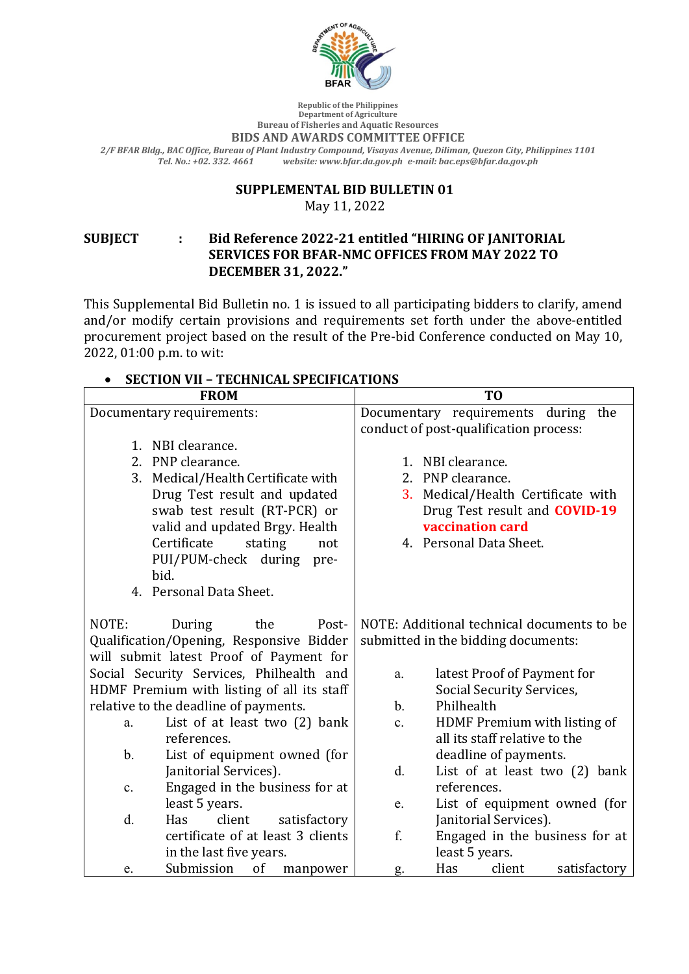

**Republic of the Philippines Department of Agriculture Bureau of Fisheries and Aquatic Resources**

#### **BIDS AND AWARDS COMMITTEE OFFICE**

*2/F BFAR Bldg., BAC Office, Bureau of Plant Industry Compound, Visayas Avenue, Diliman, Quezon City, Philippines 1101 Tel. No.: +02. 332. 4661 website: www.bfar.da.gov.ph e-mail: bac.eps@bfar.da.gov.ph*

#### **SUPPLEMENTAL BID BULLETIN 01**

May 11, 2022

#### **SUBJECT : Bid Reference 2022-21 entitled "HIRING OF JANITORIAL SERVICES FOR BFAR-NMC OFFICES FROM MAY 2022 TO DECEMBER 31, 2022."**

This Supplemental Bid Bulletin no. 1 is issued to all participating bidders to clarify, amend and/or modify certain provisions and requirements set forth under the above-entitled procurement project based on the result of the Pre-bid Conference conducted on May 10, 2022, 01:00 p.m. to wit:

#### • **SECTION VII – TECHNICAL SPECIFICATIONS**

| <b>FROM</b>                                                                                                            | T <sub>0</sub>                                                                    |
|------------------------------------------------------------------------------------------------------------------------|-----------------------------------------------------------------------------------|
| Documentary requirements:                                                                                              | Documentary requirements during the                                               |
|                                                                                                                        | conduct of post-qualification process:                                            |
| 1. NBI clearance.                                                                                                      |                                                                                   |
| 2. PNP clearance.                                                                                                      | 1. NBI clearance.                                                                 |
| 3. Medical/Health Certificate with                                                                                     | 2. PNP clearance.                                                                 |
| Drug Test result and updated                                                                                           | Medical/Health Certificate with<br>3.                                             |
| swab test result (RT-PCR) or                                                                                           | Drug Test result and <b>COVID-19</b>                                              |
| valid and updated Brgy. Health                                                                                         | vaccination card                                                                  |
| Certificate<br>stating<br>not                                                                                          | 4. Personal Data Sheet.                                                           |
| PUI/PUM-check during<br>pre-                                                                                           |                                                                                   |
| bid.                                                                                                                   |                                                                                   |
| 4. Personal Data Sheet.                                                                                                |                                                                                   |
| NOTE:<br>During<br>the<br>Post-<br>Qualification/Opening, Responsive Bidder<br>will submit latest Proof of Payment for | NOTE: Additional technical documents to be<br>submitted in the bidding documents: |
| Social Security Services, Philhealth and                                                                               | latest Proof of Payment for<br>a.                                                 |
| HDMF Premium with listing of all its staff                                                                             | Social Security Services,                                                         |
| relative to the deadline of payments.                                                                                  | Philhealth<br>$\mathbf{b}$ .                                                      |
| List of at least two $(2)$ bank<br>a.                                                                                  | HDMF Premium with listing of<br>$\mathbf{c}$ .                                    |
| references.                                                                                                            | all its staff relative to the                                                     |
| List of equipment owned (for<br>$\mathbf b$ .                                                                          | deadline of payments.                                                             |
| Janitorial Services).                                                                                                  | $\mathbf{d}$ .<br>List of at least two (2) bank                                   |
| Engaged in the business for at<br>$\mathbf{c}$ .                                                                       | references.                                                                       |
| least 5 years.                                                                                                         | List of equipment owned (for<br>e.                                                |
| d.<br>client<br>Has<br>satisfactory                                                                                    | Janitorial Services).                                                             |
| certificate of at least 3 clients                                                                                      | f.<br>Engaged in the business for at                                              |
| in the last five years.                                                                                                | least 5 years.                                                                    |
| Submission<br>of<br>manpower<br>e.                                                                                     | Has<br>client<br>satisfactory<br>g.                                               |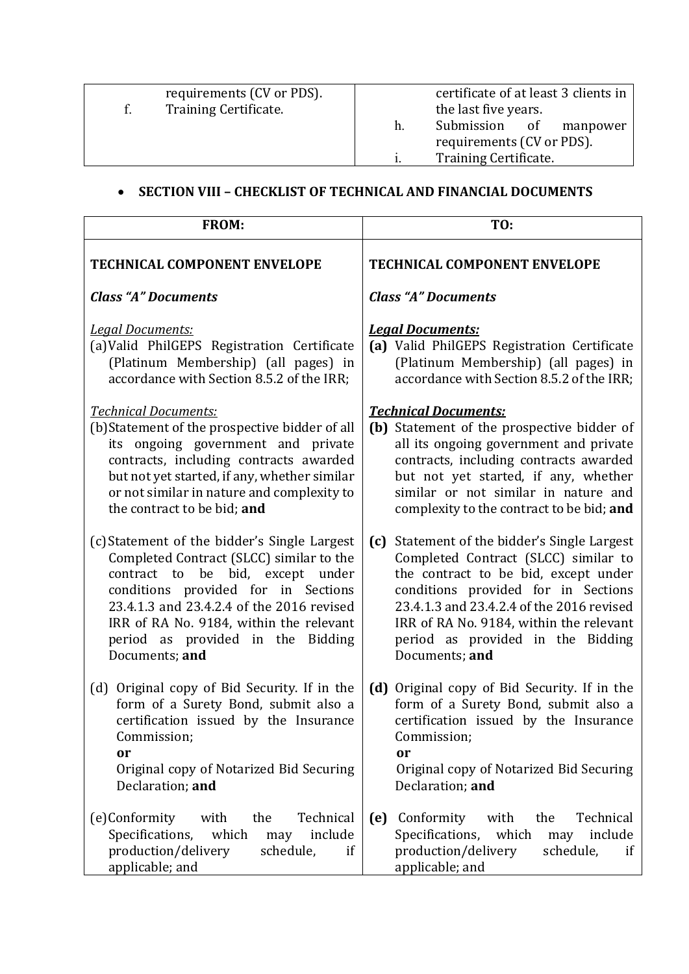| requirements (CV or PDS). |    | certificate of at least 3 clients in |
|---------------------------|----|--------------------------------------|
| Training Certificate.     |    | the last five years.                 |
|                           | h. | Submission<br>of<br>manpower         |
|                           |    | requirements (CV or PDS).            |
|                           |    | Training Certificate.                |
|                           |    |                                      |

# • **SECTION VIII - CHECKLIST OF TECHNICAL AND FINANCIAL DOCUMENTS**

| FROM:                                                                                                                                                                                                                                                                                                              | TO:                                                                                                                                                                                                                                                                                                                   |
|--------------------------------------------------------------------------------------------------------------------------------------------------------------------------------------------------------------------------------------------------------------------------------------------------------------------|-----------------------------------------------------------------------------------------------------------------------------------------------------------------------------------------------------------------------------------------------------------------------------------------------------------------------|
| <b>TECHNICAL COMPONENT ENVELOPE</b>                                                                                                                                                                                                                                                                                | <b>TECHNICAL COMPONENT ENVELOPE</b>                                                                                                                                                                                                                                                                                   |
| <b>Class "A" Documents</b>                                                                                                                                                                                                                                                                                         | <b>Class "A" Documents</b>                                                                                                                                                                                                                                                                                            |
| Legal Documents:<br>(a) Valid PhilGEPS Registration Certificate<br>(Platinum Membership) (all pages) in<br>accordance with Section 8.5.2 of the IRR;                                                                                                                                                               | <b>Legal Documents:</b><br>(a) Valid PhilGEPS Registration Certificate<br>(Platinum Membership) (all pages) in<br>accordance with Section 8.5.2 of the IRR;                                                                                                                                                           |
| <b>Technical Documents:</b><br>(b) Statement of the prospective bidder of all<br>its ongoing government and private<br>contracts, including contracts awarded<br>but not yet started, if any, whether similar<br>or not similar in nature and complexity to<br>the contract to be bid; and                         | <b>Technical Documents:</b><br>(b) Statement of the prospective bidder of<br>all its ongoing government and private<br>contracts, including contracts awarded<br>but not yet started, if any, whether<br>similar or not similar in nature and<br>complexity to the contract to be bid; and                            |
| (c) Statement of the bidder's Single Largest<br>Completed Contract (SLCC) similar to the<br>contract to be bid, except under<br>conditions provided for in Sections<br>23.4.1.3 and 23.4.2.4 of the 2016 revised<br>IRR of RA No. 9184, within the relevant<br>period as provided in the Bidding<br>Documents; and | Statement of the bidder's Single Largest<br>(c)<br>Completed Contract (SLCC) similar to<br>the contract to be bid, except under<br>conditions provided for in Sections<br>23.4.1.3 and 23.4.2.4 of the 2016 revised<br>IRR of RA No. 9184, within the relevant<br>period as provided in the Bidding<br>Documents; and |
| (d) Original copy of Bid Security. If in the<br>form of a Surety Bond, submit also a<br>certification issued by the Insurance<br>Commission;<br>or<br>Original copy of Notarized Bid Securing<br>Declaration; and                                                                                                  | (d) Original copy of Bid Security. If in the<br>form of a Surety Bond, submit also a<br>certification issued by the Insurance<br>Commission;<br>or<br>Original copy of Notarized Bid Securing<br>Declaration; and                                                                                                     |
| Technical<br>(e)Conformity<br>the<br>with<br>Specifications,<br>which<br>include<br>may<br>production/delivery<br>schedule,<br>if<br>applicable; and                                                                                                                                                               | Technical<br>(e)<br>Conformity<br>the<br>with<br>Specifications,<br>which<br>include<br>may<br>production/delivery<br>schedule,<br>if<br>applicable; and                                                                                                                                                              |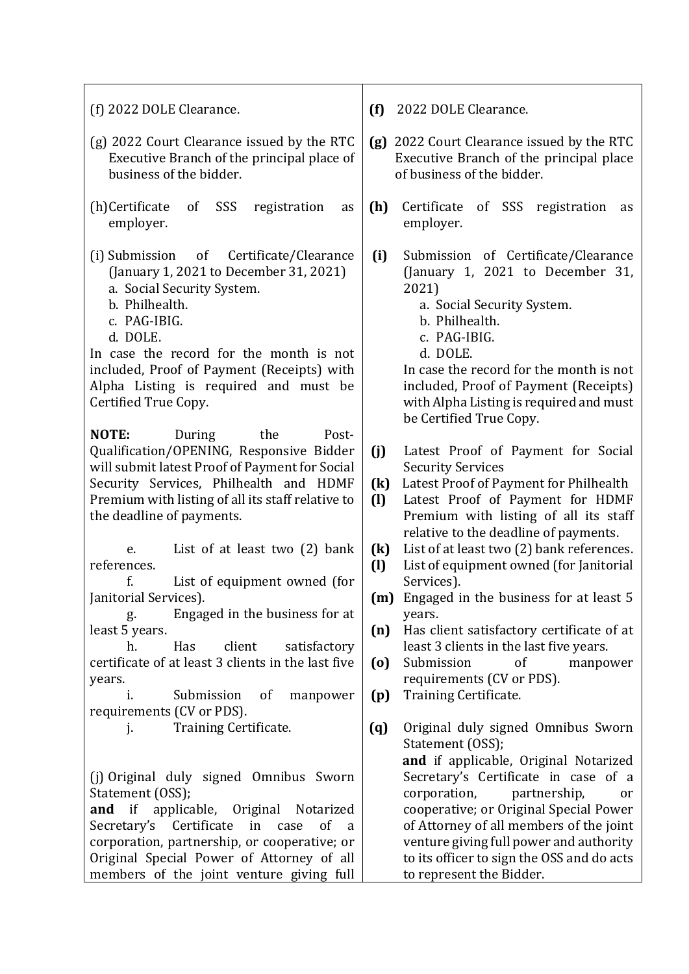| (f) 2022 DOLE Clearance.                                                                                                                                                                                                                                                                                                              | (f)<br>2022 DOLE Clearance.                                                                                                                                                                                                                                                                                                                                                                    |
|---------------------------------------------------------------------------------------------------------------------------------------------------------------------------------------------------------------------------------------------------------------------------------------------------------------------------------------|------------------------------------------------------------------------------------------------------------------------------------------------------------------------------------------------------------------------------------------------------------------------------------------------------------------------------------------------------------------------------------------------|
| (g) 2022 Court Clearance issued by the RTC<br>Executive Branch of the principal place of<br>business of the bidder.                                                                                                                                                                                                                   | 2022 Court Clearance issued by the RTC<br>(g)<br>Executive Branch of the principal place<br>of business of the bidder.                                                                                                                                                                                                                                                                         |
| (h)Certificate<br>SSS<br>of<br>registration<br>as<br>employer.                                                                                                                                                                                                                                                                        | Certificate<br>(h)<br>of SSS<br>registration<br>as<br>employer.                                                                                                                                                                                                                                                                                                                                |
| Certificate/Clearance<br>(i) Submission<br>$\circ$ of<br>(January 1, 2021 to December 31, 2021)<br>a. Social Security System.<br>b. Philhealth.<br>c. PAG-IBIG.<br>d. DOLE.<br>In case the record for the month is not<br>included, Proof of Payment (Receipts) with<br>Alpha Listing is required and must be<br>Certified True Copy. | (i)<br>Submission of Certificate/Clearance<br>(January 1, 2021 to December 31,<br>2021)<br>a. Social Security System.<br>b. Philhealth.<br>c. PAG-IBIG.<br>d. DOLE.<br>In case the record for the month is not<br>included, Proof of Payment (Receipts)<br>with Alpha Listing is required and must<br>be Certified True Copy.                                                                  |
| NOTE:<br>During<br>the<br>Post-<br>Qualification/OPENING, Responsive Bidder<br>will submit latest Proof of Payment for Social<br>Security Services, Philhealth and HDMF<br>Premium with listing of all its staff relative to<br>the deadline of payments.                                                                             | (j)<br>Latest Proof of Payment for Social<br><b>Security Services</b><br>Latest Proof of Payment for Philhealth<br>$\left( \mathrm{k}\right)$<br>Latest Proof of Payment for HDMF<br>$\left( \mathbf{l}\right)$<br>Premium with listing of all its staff                                                                                                                                       |
| List of at least two $(2)$ bank<br>e.<br>references.<br>f.<br>List of equipment owned (for<br>Janitorial Services).<br>Engaged in the business for at<br>g. 1                                                                                                                                                                         | relative to the deadline of payments.<br>List of at least two (2) bank references.<br>$\left(\mathrm{k}\right)$<br>List of equipment owned (for Janitorial<br>$\left( \mathbf{l}\right)$<br>Services).<br>(m) Engaged in the business for at least 5<br>years.                                                                                                                                 |
| least 5 years.<br>client<br>Has<br>satisfactory<br>h.<br>certificate of at least 3 clients in the last five<br>years.<br>Submission<br>of<br>manpower<br>1.<br>requirements (CV or PDS).                                                                                                                                              | Has client satisfactory certificate of at<br>(n)<br>least 3 clients in the last five years.<br>Submission<br>of<br>$\left( 0\right)$<br>manpower<br>requirements (CV or PDS).<br>Training Certificate.<br>(p)                                                                                                                                                                                  |
| Training Certificate.<br>j.<br>(j) Original duly signed Omnibus Sworn<br>Statement (OSS);<br>and if applicable, Original Notarized<br>Secretary's Certificate in case<br>of<br>a<br>corporation, partnership, or cooperative; or<br>Original Special Power of Attorney of all<br>members of the joint venture giving full             | Original duly signed Omnibus Sworn<br>(q)<br>Statement (OSS);<br>and if applicable, Original Notarized<br>Secretary's Certificate in case of a<br>corporation,<br>partnership,<br>or<br>cooperative; or Original Special Power<br>of Attorney of all members of the joint<br>venture giving full power and authority<br>to its officer to sign the OSS and do acts<br>to represent the Bidder. |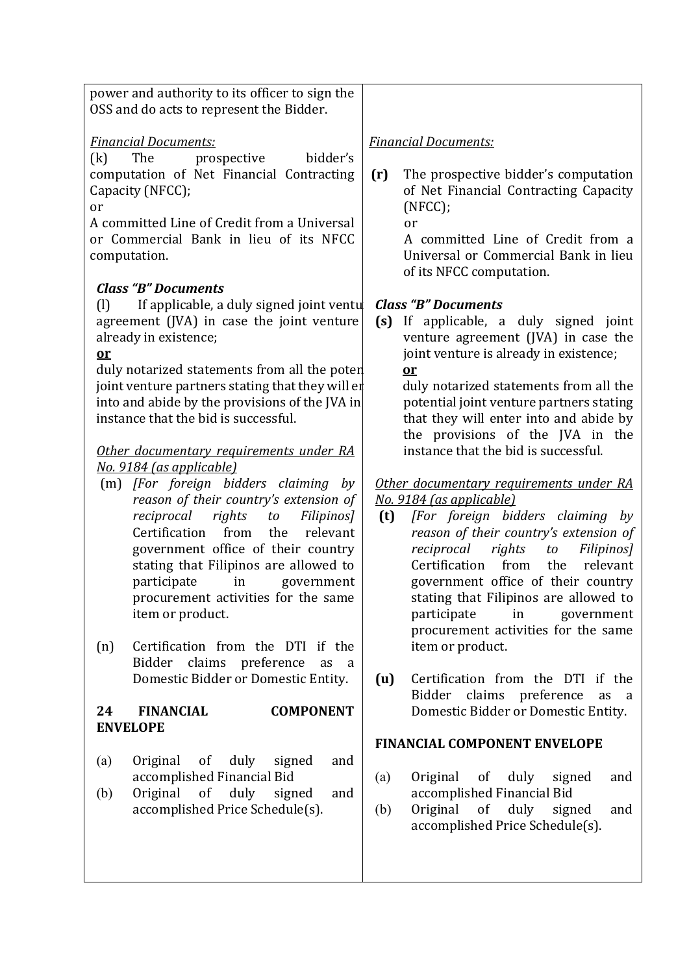power and authority to its officer to sign the OSS and do acts to represent the Bidder.

#### *Financial Documents:*

 $(k)$  The prospective bidder's computation of Net Financial Contracting Capacity (NFCC);

or

A committed Line of Credit from a Universal or Commercial Bank in lieu of its NFCC computation.

#### *Class "B" Documents*

 $\begin{bmatrix} 1 \end{bmatrix}$  If applicable, a duly signed joint ventu agreement  $(IVA)$  in case the joint venture already in existence;

## **or**

duly notarized statements from all the poten joint venture partners stating that they will en into and abide by the provisions of the IVA in instance that the bid is successful.

#### **Other** documentary requirements under RA *No. 9184 (as applicable)*

- (m) *[For foreign bidders claiming by*  reason of their country's extension of *reciprocal rights to Filipinos]* Certification from the relevant government office of their country stating that Filipinos are allowed to participate in government procurement activities for the same item or product.
- (n) Certification from the DTI if the Bidder claims preference as a Domestic Bidder or Domestic Entity.

## 24 **FINANCIAL COMPONENT ENVELOPE**

- (a) Original of duly signed and accomplished Financial Bid
- (b) Original of duly signed and accomplished Price Schedule(s).

#### *Financial Documents:*

**(r)** The prospective bidder's computation of Net Financial Contracting Capacity (NFCC);

 or

 A committed Line of Credit from a Universal or Commercial Bank in lieu of its NFCC computation.

## *Class "B" Documents*

**(s)** If applicable, a duly signed joint venture agreement (JVA) in case the joint venture is already in existence; **or** 

> duly notarized statements from all the potential joint venture partners stating that they will enter into and abide by the provisions of the JVA in the instance that the bid is successful.

## *Other documentary requirements under RA No. 9184 (as applicable)*

- **(t)** *[For foreign bidders claiming by*  reason of their country's extension of *reciprocal rights to Filipinos]* Certification from the relevant government office of their country stating that Filipinos are allowed to participate in government procurement activities for the same item or product.
- **(u)** Certification from the DTI if the Bidder claims preference as a Domestic Bidder or Domestic Entity.

## **FINANCIAL COMPONENT ENVELOPE**

- (a) Original of duly signed and accomplished Financial Bid
- (b) Original of duly signed and accomplished Price Schedule(s).